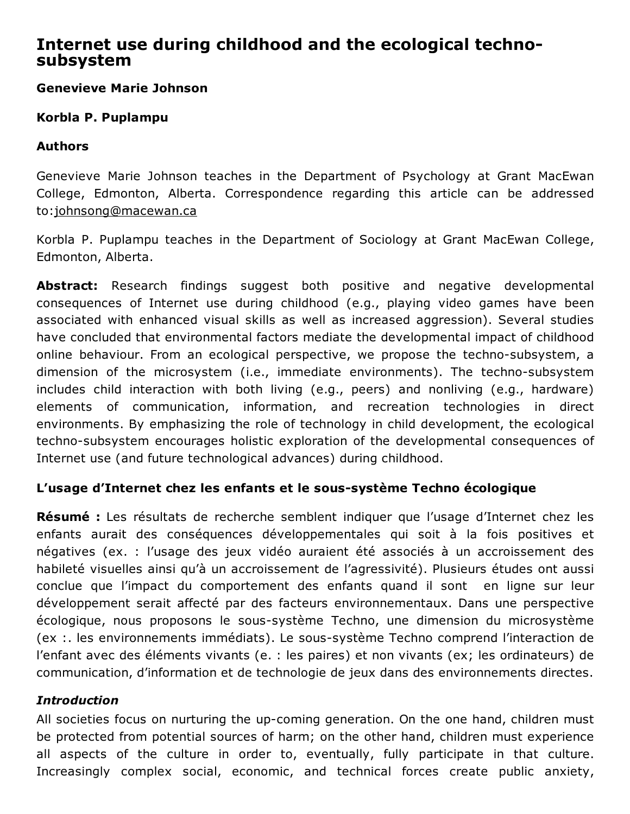# Internet use during childhood and the ecological technosubsystem

# Genevieve Marie Johnson

## Korbla P. Puplampu

## Authors

Genevieve Marie Johnson teaches in the Department of Psychology at Grant MacEwan College, Edmonton, Alberta. Correspondence regarding this article can be addressed to:[johnsong@macewan.ca](mailto:johnsong@macewan.ca)

Korbla P. Puplampu teaches in the Department of Sociology at Grant MacEwan College, Edmonton, Alberta.

Abstract: Research findings suggest both positive and negative developmental consequences of Internet use during childhood (e.g., playing video games have been associated with enhanced visual skills as well as increased aggression). Several studies have concluded that environmental factors mediate the developmental impact of childhood online behaviour. From an ecological perspective, we propose the techno-subsystem, a dimension of the microsystem (i.e., immediate environments). The techno-subsystem includes child interaction with both living (e.g., peers) and nonliving (e.g., hardware) elements of communication, information, and recreation technologies in direct environments. By emphasizing the role of technology in child development, the ecological techno-subsystem encourages holistic exploration of the developmental consequences of Internet use (and future technological advances) during childhood.

# L'usage d'Internet chez les enfants et le sous-système Techno écologique

Résumé : Les résultats de recherche semblent indiquer que l'usage d'Internet chez les enfants aurait des conséquences développementales qui soit à la fois positives et négatives (ex. : l'usage des jeux vidéo auraient été associés à un accroissement des habileté visuelles ainsi qu'à un accroissement de l'agressivité). Plusieurs études ont aussi conclue que l'impact du comportement des enfants quand il sont en ligne sur leur développement serait affecté par des facteurs environnementaux. Dans une perspective écologique, nous proposons le sous-système Techno, une dimension du microsystème (ex : les environnements immédiats). Le sous-système Techno comprend l'interaction de l'enfant avec des éléments vivants (e. : les paires) et non vivants (ex; les ordinateurs) de communication, d'information et de technologie de jeux dans des environnements directes.

#### *Introduction*

All societies focus on nurturing the up-coming generation. On the one hand, children must be protected from potential sources of harm; on the other hand, children must experience all aspects of the culture in order to, eventually, fully participate in that culture. Increasingly complex social, economic, and technical forces create public anxiety,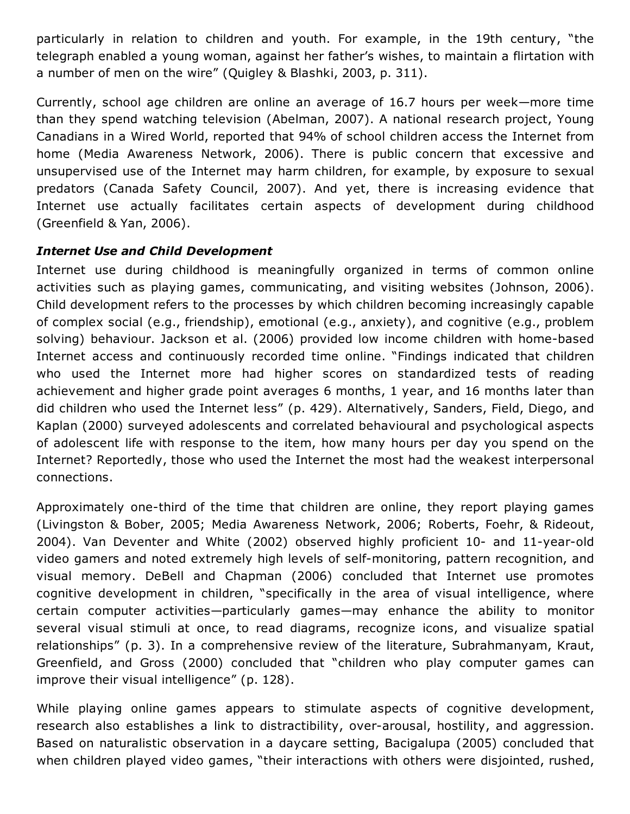particularly in relation to children and youth. For example, in the 19th century, "the telegraph enabled a young woman, against her father's wishes, to maintain a flirtation with a number of men on the wire" (Quigley & Blashki, 2003, p. 311).

Currently, school age children are online an average of 16.7 hours per week—more time than they spend watching television (Abelman, 2007). A national research project, Young Canadians in a Wired World, reported that 94% of school children access the Internet from home (Media Awareness Network, 2006). There is public concern that excessive and unsupervised use of the Internet may harm children, for example, by exposure to sexual predators (Canada Safety Council, 2007). And yet, there is increasing evidence that Internet use actually facilitates certain aspects of development during childhood (Greenfield & Yan, 2006).

# *Internet Use and Child Development*

Internet use during childhood is meaningfully organized in terms of common online activities such as playing games, communicating, and visiting websites (Johnson, 2006). Child development refers to the processes by which children becoming increasingly capable of complex social (e.g., friendship), emotional (e.g., anxiety), and cognitive (e.g., problem solving) behaviour. Jackson et al. (2006) provided low income children with home-based Internet access and continuously recorded time online. "Findings indicated that children who used the Internet more had higher scores on standardized tests of reading achievement and higher grade point averages 6 months, 1 year, and 16 months later than did children who used the Internet less" (p. 429). Alternatively, Sanders, Field, Diego, and Kaplan (2000) surveyed adolescents and correlated behavioural and psychological aspects of adolescent life with response to the item, how many hours per day you spend on the Internet? Reportedly, those who used the Internet the most had the weakest interpersonal connections.

Approximately one-third of the time that children are online, they report playing games (Livingston & Bober, 2005; Media Awareness Network, 2006; Roberts, Foehr, & Rideout, 2004). Van Deventer and White (2002) observed highly proficient 10- and 11-year-old video gamers and noted extremely high levels of self-monitoring, pattern recognition, and visual memory. DeBell and Chapman (2006) concluded that Internet use promotes cognitive development in children, "specifically in the area of visual intelligence, where certain computer activities—particularly games—may enhance the ability to monitor several visual stimuli at once, to read diagrams, recognize icons, and visualize spatial relationships" (p. 3). In a comprehensive review of the literature, Subrahmanyam, Kraut, Greenfield, and Gross (2000) concluded that "children who play computer games can improve their visual intelligence" (p. 128).

While playing online games appears to stimulate aspects of cognitive development, research also establishes a link to distractibility, over-arousal, hostility, and aggression. Based on naturalistic observation in a daycare setting, Bacigalupa (2005) concluded that when children played video games, "their interactions with others were disjointed, rushed,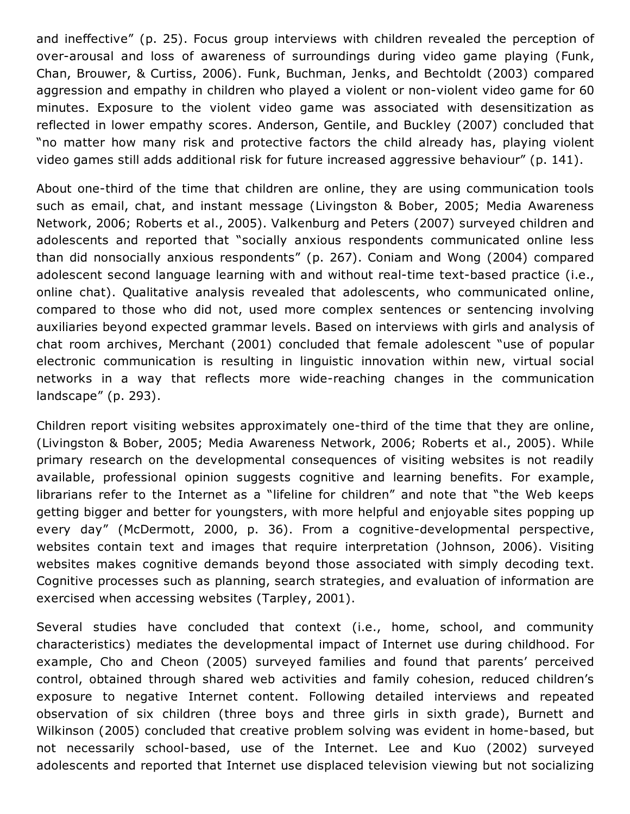and ineffective" (p. 25). Focus group interviews with children revealed the perception of over-arousal and loss of awareness of surroundings during video game playing (Funk, Chan, Brouwer, & Curtiss, 2006). Funk, Buchman, Jenks, and Bechtoldt (2003) compared aggression and empathy in children who played a violent or non-violent video game for 60 minutes. Exposure to the violent video game was associated with desensitization as reflected in lower empathy scores. Anderson, Gentile, and Buckley (2007) concluded that "no matter how many risk and protective factors the child already has, playing violent video games still adds additional risk for future increased aggressive behaviour" (p. 141).

About one-third of the time that children are online, they are using communication tools such as email, chat, and instant message (Livingston & Bober, 2005; Media Awareness Network, 2006; Roberts et al., 2005). Valkenburg and Peters (2007) surveyed children and adolescents and reported that "socially anxious respondents communicated online less than did nonsocially anxious respondents" (p. 267). Coniam and Wong (2004) compared adolescent second language learning with and without real-time text-based practice (i.e., online chat). Qualitative analysis revealed that adolescents, who communicated online, compared to those who did not, used more complex sentences or sentencing involving auxiliaries beyond expected grammar levels. Based on interviews with girls and analysis of chat room archives, Merchant (2001) concluded that female adolescent "use of popular electronic communication is resulting in linguistic innovation within new, virtual social networks in a way that reflects more wide-reaching changes in the communication landscape" (p. 293).

Children report visiting websites approximately one-third of the time that they are online, (Livingston & Bober, 2005; Media Awareness Network, 2006; Roberts et al., 2005). While primary research on the developmental consequences of visiting websites is not readily available, professional opinion suggests cognitive and learning benefits. For example, librarians refer to the Internet as a "lifeline for children" and note that "the Web keeps getting bigger and better for youngsters, with more helpful and enjoyable sites popping up every day" (McDermott, 2000, p. 36). From a cognitive-developmental perspective, websites contain text and images that require interpretation (Johnson, 2006). Visiting websites makes cognitive demands beyond those associated with simply decoding text. Cognitive processes such as planning, search strategies, and evaluation of information are exercised when accessing websites (Tarpley, 2001).

Several studies have concluded that context (i.e., home, school, and community characteristics) mediates the developmental impact of Internet use during childhood. For example, Cho and Cheon (2005) surveyed families and found that parents' perceived control, obtained through shared web activities and family cohesion, reduced children's exposure to negative Internet content. Following detailed interviews and repeated observation of six children (three boys and three girls in sixth grade), Burnett and Wilkinson (2005) concluded that creative problem solving was evident in home-based, but not necessarily school-based, use of the Internet. Lee and Kuo (2002) surveyed adolescents and reported that Internet use displaced television viewing but not socializing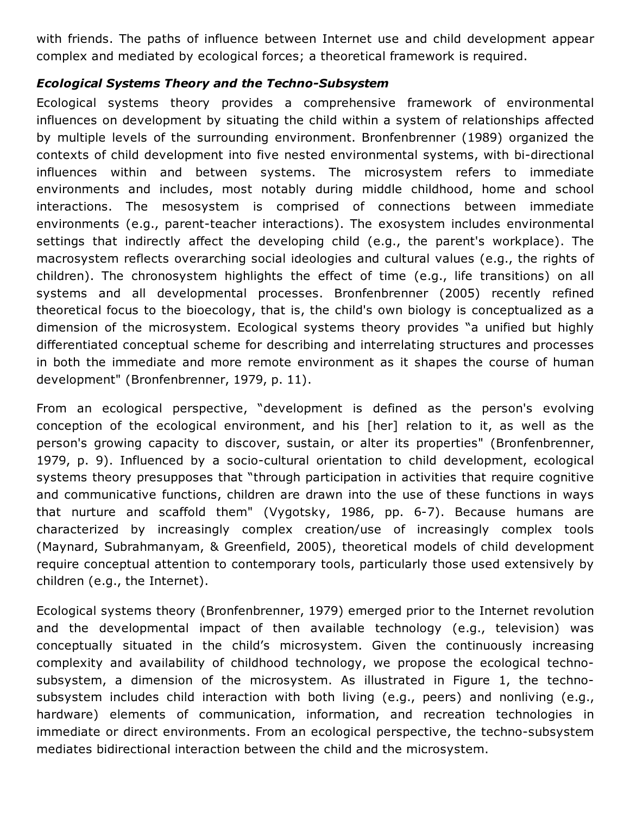with friends. The paths of influence between Internet use and child development appear complex and mediated by ecological forces; a theoretical framework is required.

## *Ecological Systems Theory and the Techno-Subsystem*

Ecological systems theory provides a comprehensive framework of environmental influences on development by situating the child within a system of relationships affected by multiple levels of the surrounding environment. Bronfenbrenner (1989) organized the contexts of child development into five nested environmental systems, with bi-directional influences within and between systems. The microsystem refers to immediate environments and includes, most notably during middle childhood, home and school interactions. The mesosystem is comprised of connections between immediate environments (e.g., parent-teacher interactions). The exosystem includes environmental settings that indirectly affect the developing child (e.g., the parent's workplace). The macrosystem reflects overarching social ideologies and cultural values (e.g., the rights of children). The chronosystem highlights the effect of time (e.g., life transitions) on all systems and all developmental processes. Bronfenbrenner (2005) recently refined theoretical focus to the bioecology, that is, the child's own biology is conceptualized as a dimension of the microsystem. Ecological systems theory provides "a unified but highly differentiated conceptual scheme for describing and interrelating structures and processes in both the immediate and more remote environment as it shapes the course of human development" (Bronfenbrenner, 1979, p. 11).

From an ecological perspective, "development is defined as the person's evolving conception of the ecological environment, and his [her] relation to it, as well as the person's growing capacity to discover, sustain, or alter its properties" (Bronfenbrenner, 1979, p. 9). Influenced by a socio-cultural orientation to child development, ecological systems theory presupposes that "through participation in activities that require cognitive and communicative functions, children are drawn into the use of these functions in ways that nurture and scaffold them" (Vygotsky, 1986, pp. 6-7). Because humans are characterized by increasingly complex creation/use of increasingly complex tools (Maynard, Subrahmanyam, & Greenfield, 2005), theoretical models of child development require conceptual attention to contemporary tools, particularly those used extensively by children (e.g., the Internet).

Ecological systems theory (Bronfenbrenner, 1979) emerged prior to the Internet revolution and the developmental impact of then available technology (e.g., television) was conceptually situated in the child's microsystem. Given the continuously increasing complexity and availability of childhood technology, we propose the ecological technosubsystem, a dimension of the microsystem. As illustrated in Figure 1, the technosubsystem includes child interaction with both living (e.g., peers) and nonliving (e.g., hardware) elements of communication, information, and recreation technologies in immediate or direct environments. From an ecological perspective, the techno-subsystem mediates bidirectional interaction between the child and the microsystem.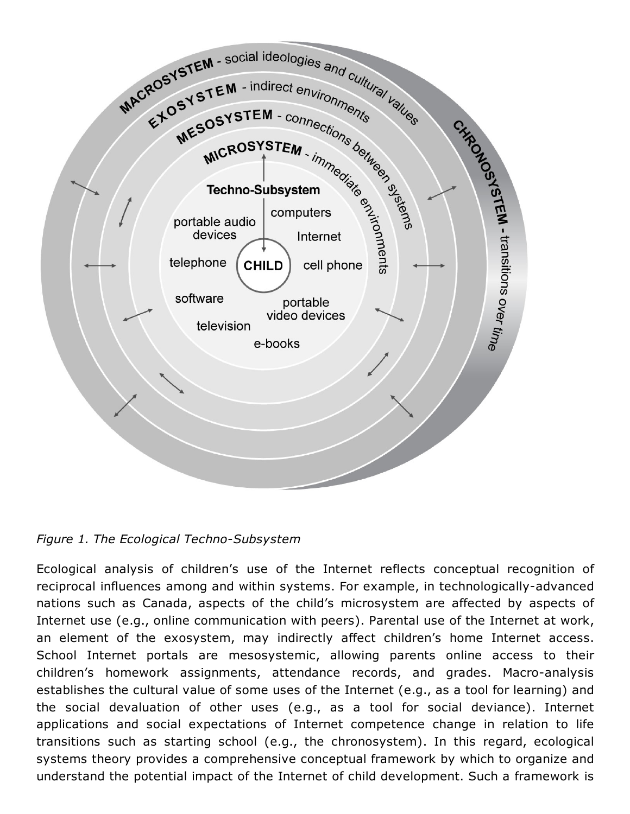

*Figure 1. The Ecological Techno-Subsystem* 

Ecological analysis of children's use of the Internet reflects conceptual recognition of reciprocal influences among and within systems. For example, in technologically-advanced nations such as Canada, aspects of the child's microsystem are affected by aspects of Internet use (e.g., online communication with peers). Parental use of the Internet at work, an element of the exosystem, may indirectly affect children's home Internet access. School Internet portals are mesosystemic, allowing parents online access to their children's homework assignments, attendance records, and grades. Macro-analysis establishes the cultural value of some uses of the Internet (e.g., as a tool for learning) and the social devaluation of other uses (e.g., as a tool for social deviance). Internet applications and social expectations of Internet competence change in relation to life transitions such as starting school (e.g., the chronosystem). In this regard, ecological systems theory provides a comprehensive conceptual framework by which to organize and understand the potential impact of the Internet of child development. Such a framework is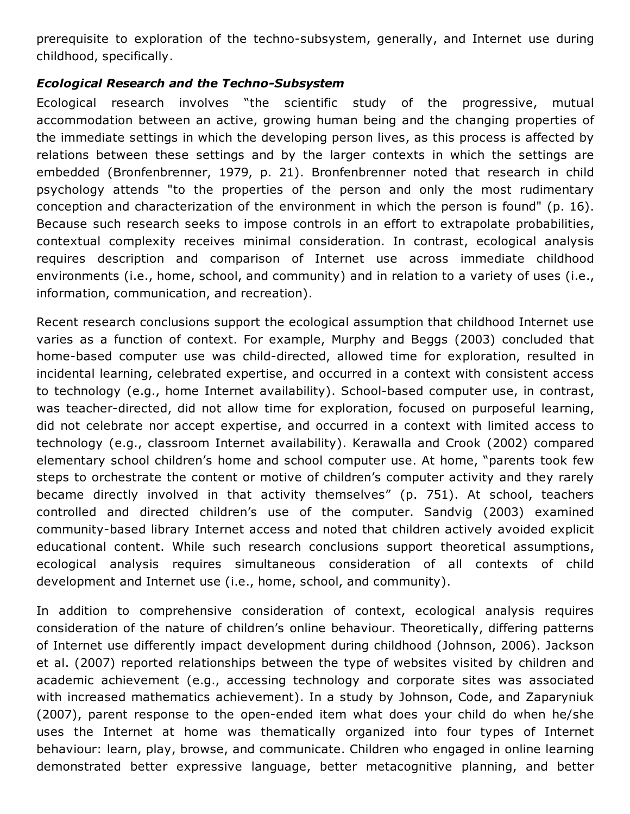prerequisite to exploration of the techno-subsystem, generally, and Internet use during childhood, specifically.

### *Ecological Research and the Techno-Subsystem*

Ecological research involves "the scientific study of the progressive, mutual accommodation between an active, growing human being and the changing properties of the immediate settings in which the developing person lives, as this process is affected by relations between these settings and by the larger contexts in which the settings are embedded (Bronfenbrenner, 1979, p. 21). Bronfenbrenner noted that research in child psychology attends "to the properties of the person and only the most rudimentary conception and characterization of the environment in which the person is found" (p. 16). Because such research seeks to impose controls in an effort to extrapolate probabilities, contextual complexity receives minimal consideration. In contrast, ecological analysis requires description and comparison of Internet use across immediate childhood environments (i.e., home, school, and community) and in relation to a variety of uses (i.e., information, communication, and recreation).

Recent research conclusions support the ecological assumption that childhood Internet use varies as a function of context. For example, Murphy and Beggs (2003) concluded that home-based computer use was child-directed, allowed time for exploration, resulted in incidental learning, celebrated expertise, and occurred in a context with consistent access to technology (e.g., home Internet availability). School-based computer use, in contrast, was teacher-directed, did not allow time for exploration, focused on purposeful learning, did not celebrate nor accept expertise, and occurred in a context with limited access to technology (e.g., classroom Internet availability). Kerawalla and Crook (2002) compared elementary school children's home and school computer use. At home, "parents took few steps to orchestrate the content or motive of children's computer activity and they rarely became directly involved in that activity themselves" (p. 751). At school, teachers controlled and directed children's use of the computer. Sandvig (2003) examined community-based library Internet access and noted that children actively avoided explicit educational content. While such research conclusions support theoretical assumptions, ecological analysis requires simultaneous consideration of all contexts of child development and Internet use (i.e., home, school, and community).

In addition to comprehensive consideration of context, ecological analysis requires consideration of the nature of children's online behaviour. Theoretically, differing patterns of Internet use differently impact development during childhood (Johnson, 2006). Jackson et al. (2007) reported relationships between the type of websites visited by children and academic achievement (e.g., accessing technology and corporate sites was associated with increased mathematics achievement). In a study by Johnson, Code, and Zaparyniuk (2007), parent response to the open-ended item what does your child do when he/she uses the Internet at home was thematically organized into four types of Internet behaviour: learn, play, browse, and communicate. Children who engaged in online learning demonstrated better expressive language, better metacognitive planning, and better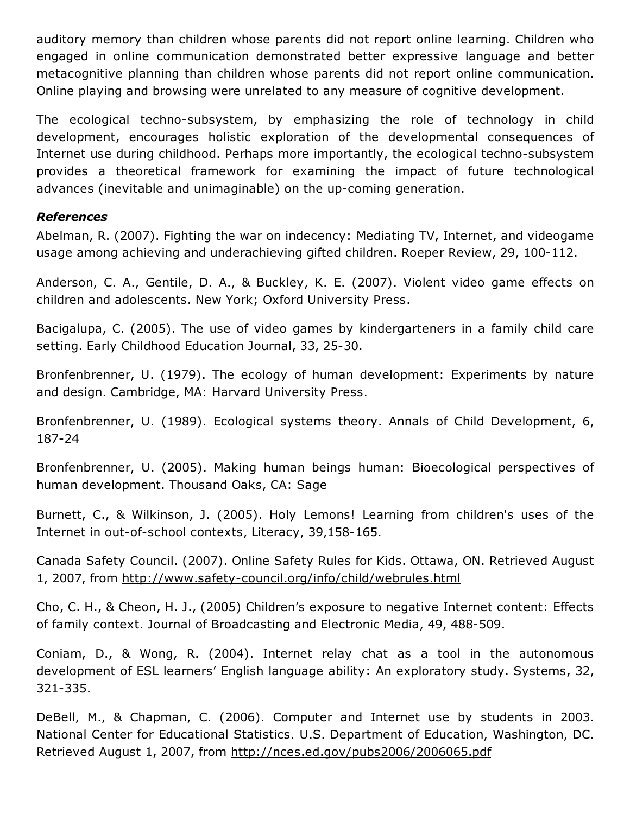auditory memory than children whose parents did not report online learning. Children who engaged in online communication demonstrated better expressive language and better metacognitive planning than children whose parents did not report online communication. Online playing and browsing were unrelated to any measure of cognitive development.

The ecological techno-subsystem, by emphasizing the role of technology in child development, encourages holistic exploration of the developmental consequences of Internet use during childhood. Perhaps more importantly, the ecological techno-subsystem provides a theoretical framework for examining the impact of future technological advances (inevitable and unimaginable) on the up-coming generation.

#### *References*

Abelman, R. (2007). Fighting the war on indecency: Mediating TV, Internet, and videogame usage among achieving and underachieving gifted children. Roeper Review, 29, 100-112.

Anderson, C. A., Gentile, D. A., & Buckley, K. E. (2007). Violent video game effects on children and adolescents. New York; Oxford University Press.

Bacigalupa, C. (2005). The use of video games by kindergarteners in a family child care setting. Early Childhood Education Journal, 33, 25-30.

Bronfenbrenner, U. (1979). The ecology of human development: Experiments by nature and design. Cambridge, MA: Harvard University Press.

Bronfenbrenner, U. (1989). Ecological systems theory. Annals of Child Development, 6, 187-24

Bronfenbrenner, U. (2005). Making human beings human: Bioecological perspectives of human development. Thousand Oaks, CA: Sage

Burnett, C., & Wilkinson, J. (2005). Holy Lemons! Learning from children's uses of the Internet in out-of-school contexts, Literacy, 39,158-165.

Canada Safety Council. (2007). Online Safety Rules for Kids. Ottawa, ON. Retrieved August 1, 2007, from http://www.safety-council.org/info/child/webrules.html

Cho, C. H., & Cheon, H. J., (2005) Children's exposure to negative Internet content: Effects of family context. Journal of Broadcasting and Electronic Media, 49, 488-509.

Coniam, D., & Wong, R. (2004). Internet relay chat as a tool in the autonomous development of ESL learners' English language ability: An exploratory study. Systems, 32, 321-335.

DeBell, M., & Chapman, C. (2006). Computer and Internet use by students in 2003. National Center for Educational Statistics. U.S. Department of Education, Washington, DC. Retrieved August 1, 2007, from <http://nces.ed.gov/pubs2006/2006065.pdf>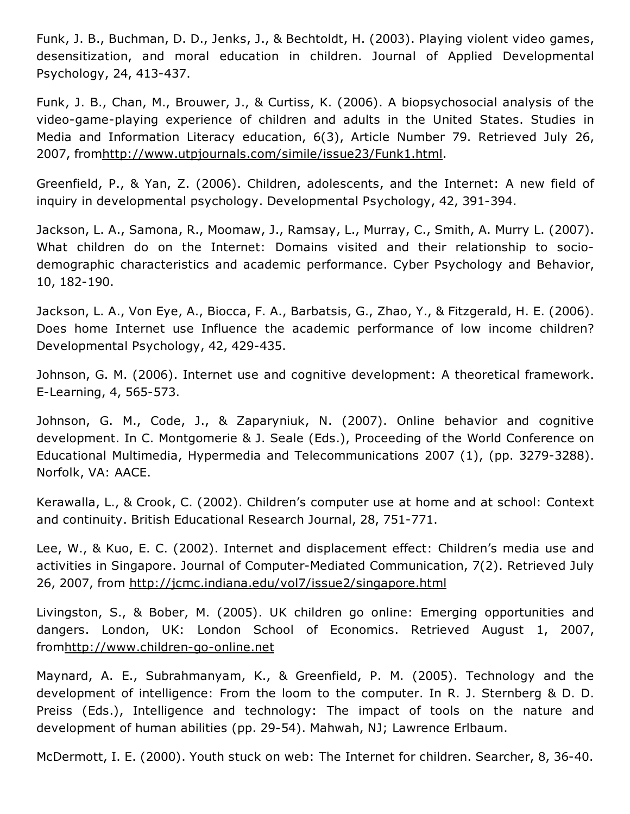Funk, J. B., Buchman, D. D., Jenks, J., & Bechtoldt, H. (2003). Playing violent video games, desensitization, and moral education in children. Journal of Applied Developmental Psychology, 24, 413-437.

Funk, J. B., Chan, M., Brouwer, J., & Curtiss, K. (2006). A biopsychosocial analysis of the video-game-playing experience of children and adults in the United States. Studies in Media and Information Literacy education, 6(3), Article Number 79. Retrieved July 26, 2007, fro[mhttp://www.utpjournals.com/simile/issue23/Funk1.html](http://www.utpjournals.com/simile/issue23/Funk1.html).

Greenfield, P., & Yan, Z. (2006). Children, adolescents, and the Internet: A new field of inquiry in developmental psychology. Developmental Psychology, 42, 391-394.

Jackson, L. A., Samona, R., Moomaw, J., Ramsay, L., Murray, C., Smith, A. Murry L. (2007). What children do on the Internet: Domains visited and their relationship to sociodemographic characteristics and academic performance. Cyber Psychology and Behavior, 10, 182-190.

Jackson, L. A., Von Eye, A., Biocca, F. A., Barbatsis, G., Zhao, Y., & Fitzgerald, H. E. (2006). Does home Internet use Influence the academic performance of low income children? Developmental Psychology, 42, 429-435.

Johnson, G. M. (2006). Internet use and cognitive development: A theoretical framework. E-Learning, 4, 565-573.

Johnson, G. M., Code, J., & Zaparyniuk, N. (2007). Online behavior and cognitive development. In C. Montgomerie & J. Seale (Eds.), Proceeding of the World Conference on Educational Multimedia, Hypermedia and Telecommunications 2007 (1), (pp. 3279-3288). Norfolk, VA: AACE.

Kerawalla, L., & Crook, C. (2002). Children's computer use at home and at school: Context and continuity. British Educational Research Journal, 28, 751-771.

Lee, W., & Kuo, E. C. (2002). Internet and displacement effect: Children's media use and activities in Singapore. Journal of Computer-Mediated Communication, 7(2). Retrieved July 26, 2007, from <http://jcmc.indiana.edu/vol7/issue2/singapore.html>

Livingston, S., & Bober, M. (2005). UK children go online: Emerging opportunities and dangers. London, UK: London School of Economics. Retrieved August 1, 2007, fromhttp://www.children-go-online.net

Maynard, A. E., Subrahmanyam, K., & Greenfield, P. M. (2005). Technology and the development of intelligence: From the loom to the computer. In R. J. Sternberg & D. D. Preiss (Eds.), Intelligence and technology: The impact of tools on the nature and development of human abilities (pp. 29-54). Mahwah, NJ; Lawrence Erlbaum.

McDermott, I. E. (2000). Youth stuck on web: The Internet for children. Searcher, 8, 36-40.